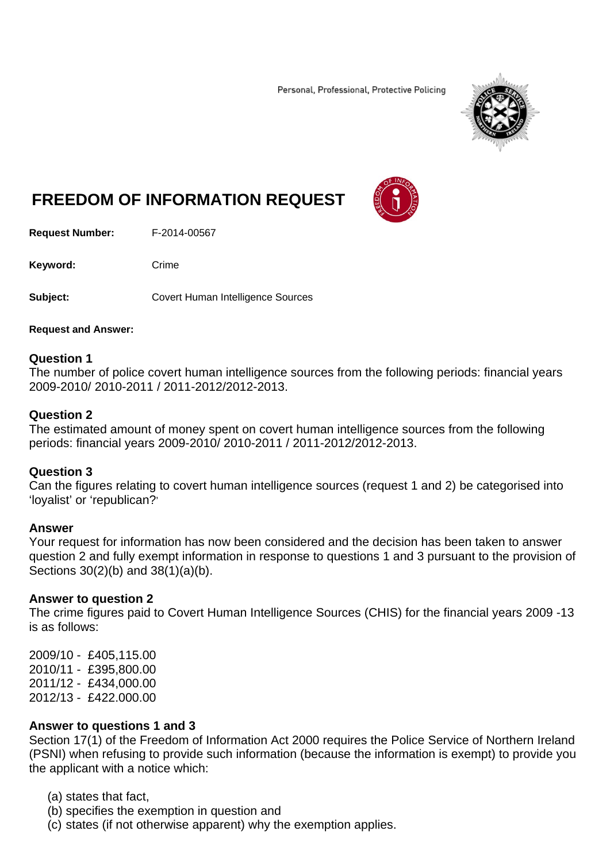Personal, Professional, Protective Policing



# **FREEDOM OF INFORMATION REQUEST**

**Request Number:** F-2014-00567

Keyword: Crime

**Subject:** Covert Human Intelligence Sources

#### **Request and Answer:**

#### **Question 1**

The number of police covert human intelligence sources from the following periods: financial years 2009-2010/ 2010-2011 / 2011-2012/2012-2013.

#### **Question 2**

The estimated amount of money spent on covert human intelligence sources from the following periods: financial years 2009-2010/ 2010-2011 / 2011-2012/2012-2013.

#### **Question 3**

Can the figures relating to covert human intelligence sources (request 1 and 2) be categorised into 'loyalist' or 'republican?'

#### **Answer**

Your request for information has now been considered and the decision has been taken to answer question 2 and fully exempt information in response to questions 1 and 3 pursuant to the provision of Sections 30(2)(b) and 38(1)(a)(b).

#### **Answer to question 2**

The crime figures paid to Covert Human Intelligence Sources (CHIS) for the financial years 2009 -13 is as follows:

2009/10 - £405,115.00 2010/11 - £395,800.00 2011/12 - £434,000.00 2012/13 - £422.000.00

#### **Answer to questions 1 and 3**

Section 17(1) of the Freedom of Information Act 2000 requires the Police Service of Northern Ireland (PSNI) when refusing to provide such information (because the information is exempt) to provide you the applicant with a notice which:

(a) states that fact,

- (b) specifies the exemption in question and
- (c) states (if not otherwise apparent) why the exemption applies.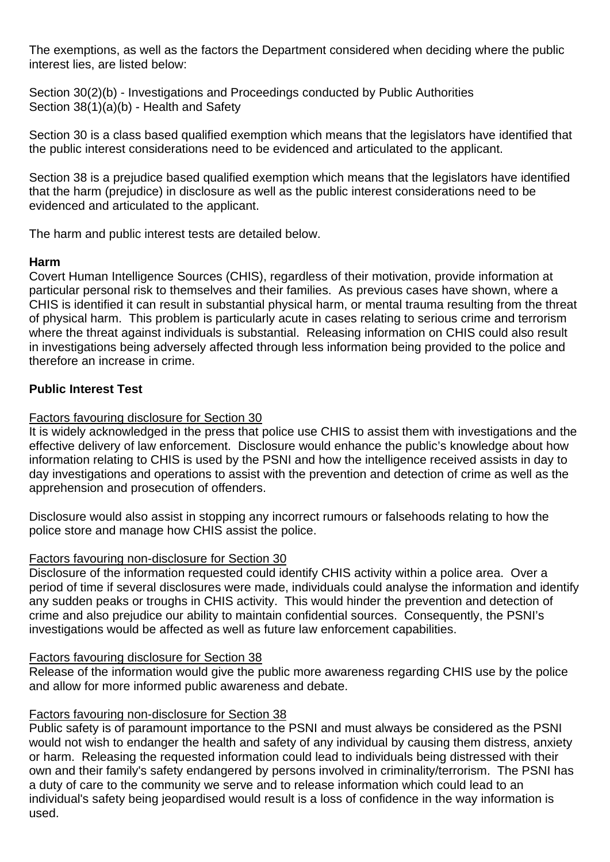The exemptions, as well as the factors the Department considered when deciding where the public interest lies, are listed below:

Section 30(2)(b) - Investigations and Proceedings conducted by Public Authorities Section 38(1)(a)(b) - Health and Safety

Section 30 is a class based qualified exemption which means that the legislators have identified that the public interest considerations need to be evidenced and articulated to the applicant.

Section 38 is a prejudice based qualified exemption which means that the legislators have identified that the harm (prejudice) in disclosure as well as the public interest considerations need to be evidenced and articulated to the applicant.

The harm and public interest tests are detailed below.

## **Harm**

Covert Human Intelligence Sources (CHIS), regardless of their motivation, provide information at particular personal risk to themselves and their families. As previous cases have shown, where a CHIS is identified it can result in substantial physical harm, or mental trauma resulting from the threat of physical harm. This problem is particularly acute in cases relating to serious crime and terrorism where the threat against individuals is substantial. Releasing information on CHIS could also result in investigations being adversely affected through less information being provided to the police and therefore an increase in crime.

## **Public Interest Test**

## Factors favouring disclosure for Section 30

It is widely acknowledged in the press that police use CHIS to assist them with investigations and the effective delivery of law enforcement. Disclosure would enhance the public's knowledge about how information relating to CHIS is used by the PSNI and how the intelligence received assists in day to day investigations and operations to assist with the prevention and detection of crime as well as the apprehension and prosecution of offenders.

Disclosure would also assist in stopping any incorrect rumours or falsehoods relating to how the police store and manage how CHIS assist the police.

## Factors favouring non-disclosure for Section 30

Disclosure of the information requested could identify CHIS activity within a police area. Over a period of time if several disclosures were made, individuals could analyse the information and identify any sudden peaks or troughs in CHIS activity. This would hinder the prevention and detection of crime and also prejudice our ability to maintain confidential sources. Consequently, the PSNI's investigations would be affected as well as future law enforcement capabilities.

## Factors favouring disclosure for Section 38

Release of the information would give the public more awareness regarding CHIS use by the police and allow for more informed public awareness and debate.

## Factors favouring non-disclosure for Section 38

Public safety is of paramount importance to the PSNI and must always be considered as the PSNI would not wish to endanger the health and safety of any individual by causing them distress, anxiety or harm. Releasing the requested information could lead to individuals being distressed with their own and their family's safety endangered by persons involved in criminality/terrorism. The PSNI has a duty of care to the community we serve and to release information which could lead to an individual's safety being jeopardised would result is a loss of confidence in the way information is used.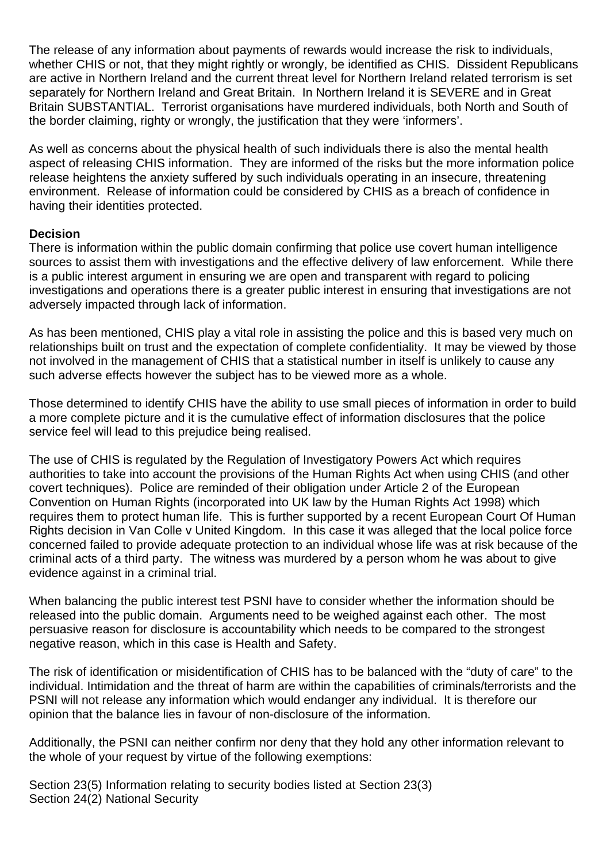The release of any information about payments of rewards would increase the risk to individuals, whether CHIS or not, that they might rightly or wrongly, be identified as CHIS. Dissident Republicans are active in Northern Ireland and the current threat level for Northern Ireland related terrorism is set separately for Northern Ireland and Great Britain. In Northern Ireland it is SEVERE and in Great Britain SUBSTANTIAL. Terrorist organisations have murdered individuals, both North and South of the border claiming, righty or wrongly, the justification that they were 'informers'.

As well as concerns about the physical health of such individuals there is also the mental health aspect of releasing CHIS information. They are informed of the risks but the more information police release heightens the anxiety suffered by such individuals operating in an insecure, threatening environment. Release of information could be considered by CHIS as a breach of confidence in having their identities protected.

## **Decision**

There is information within the public domain confirming that police use covert human intelligence sources to assist them with investigations and the effective delivery of law enforcement. While there is a public interest argument in ensuring we are open and transparent with regard to policing investigations and operations there is a greater public interest in ensuring that investigations are not adversely impacted through lack of information.

As has been mentioned, CHIS play a vital role in assisting the police and this is based very much on relationships built on trust and the expectation of complete confidentiality. It may be viewed by those not involved in the management of CHIS that a statistical number in itself is unlikely to cause any such adverse effects however the subject has to be viewed more as a whole.

Those determined to identify CHIS have the ability to use small pieces of information in order to build a more complete picture and it is the cumulative effect of information disclosures that the police service feel will lead to this prejudice being realised.

The use of CHIS is regulated by the Regulation of Investigatory Powers Act which requires authorities to take into account the provisions of the Human Rights Act when using CHIS (and other covert techniques). Police are reminded of their obligation under Article 2 of the European Convention on Human Rights (incorporated into UK law by the Human Rights Act 1998) which requires them to protect human life. This is further supported by a recent European Court Of Human Rights decision in Van Colle v United Kingdom. In this case it was alleged that the local police force concerned failed to provide adequate protection to an individual whose life was at risk because of the criminal acts of a third party. The witness was murdered by a person whom he was about to give evidence against in a criminal trial.

When balancing the public interest test PSNI have to consider whether the information should be released into the public domain. Arguments need to be weighed against each other. The most persuasive reason for disclosure is accountability which needs to be compared to the strongest negative reason, which in this case is Health and Safety.

The risk of identification or misidentification of CHIS has to be balanced with the "duty of care" to the individual. Intimidation and the threat of harm are within the capabilities of criminals/terrorists and the PSNI will not release any information which would endanger any individual. It is therefore our opinion that the balance lies in favour of non-disclosure of the information.

Additionally, the PSNI can neither confirm nor deny that they hold any other information relevant to the whole of your request by virtue of the following exemptions:

Section 23(5) Information relating to security bodies listed at Section 23(3) Section 24(2) National Security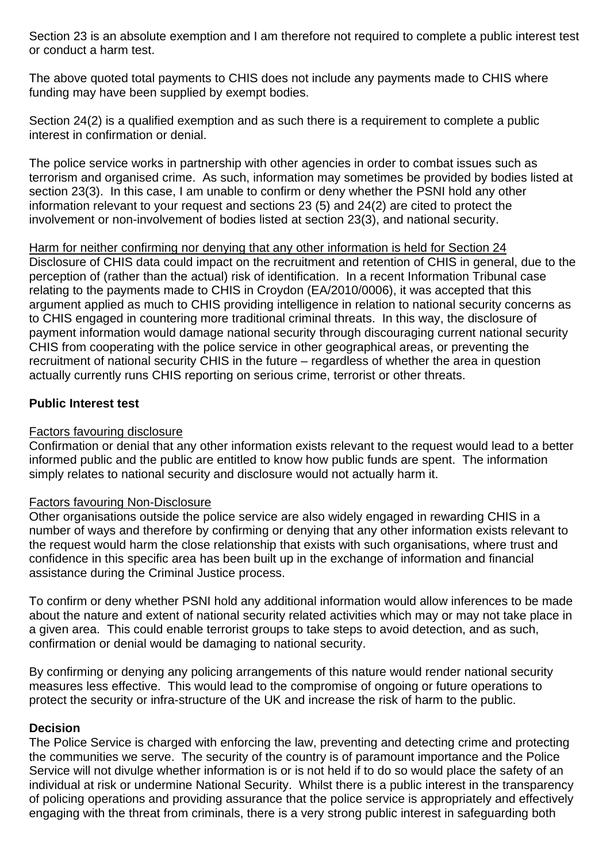Section 23 is an absolute exemption and I am therefore not required to complete a public interest test or conduct a harm test.

The above quoted total payments to CHIS does not include any payments made to CHIS where funding may have been supplied by exempt bodies.

Section 24(2) is a qualified exemption and as such there is a requirement to complete a public interest in confirmation or denial.

The police service works in partnership with other agencies in order to combat issues such as terrorism and organised crime. As such, information may sometimes be provided by bodies listed at section 23(3). In this case, I am unable to confirm or deny whether the PSNI hold any other information relevant to your request and sections 23 (5) and 24(2) are cited to protect the involvement or non-involvement of bodies listed at section 23(3), and national security.

### Harm for neither confirming nor denying that any other information is held for Section 24 Disclosure of CHIS data could impact on the recruitment and retention of CHIS in general, due to the perception of (rather than the actual) risk of identification. In a recent Information Tribunal case relating to the payments made to CHIS in Croydon (EA/2010/0006), it was accepted that this argument applied as much to CHIS providing intelligence in relation to national security concerns as to CHIS engaged in countering more traditional criminal threats. In this way, the disclosure of payment information would damage national security through discouraging current national security CHIS from cooperating with the police service in other geographical areas, or preventing the recruitment of national security CHIS in the future – regardless of whether the area in question actually currently runs CHIS reporting on serious crime, terrorist or other threats.

# **Public Interest test**

# Factors favouring disclosure

Confirmation or denial that any other information exists relevant to the request would lead to a better informed public and the public are entitled to know how public funds are spent. The information simply relates to national security and disclosure would not actually harm it.

# Factors favouring Non-Disclosure

Other organisations outside the police service are also widely engaged in rewarding CHIS in a number of ways and therefore by confirming or denying that any other information exists relevant to the request would harm the close relationship that exists with such organisations, where trust and confidence in this specific area has been built up in the exchange of information and financial assistance during the Criminal Justice process.

To confirm or deny whether PSNI hold any additional information would allow inferences to be made about the nature and extent of national security related activities which may or may not take place in a given area. This could enable terrorist groups to take steps to avoid detection, and as such, confirmation or denial would be damaging to national security.

By confirming or denying any policing arrangements of this nature would render national security measures less effective. This would lead to the compromise of ongoing or future operations to protect the security or infra-structure of the UK and increase the risk of harm to the public.

# **Decision**

The Police Service is charged with enforcing the law, preventing and detecting crime and protecting the communities we serve. The security of the country is of paramount importance and the Police Service will not divulge whether information is or is not held if to do so would place the safety of an individual at risk or undermine National Security. Whilst there is a public interest in the transparency of policing operations and providing assurance that the police service is appropriately and effectively engaging with the threat from criminals, there is a very strong public interest in safeguarding both